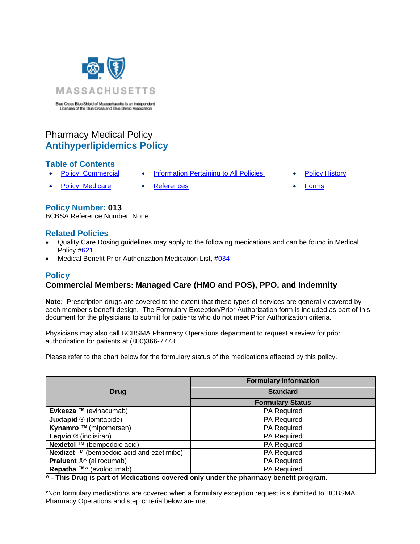

Blue Cross Blue Shield of Massachusetts is an Independent<br>Licensee of the Blue Cross and Blue Shield Association

# Pharmacy Medical Policy **Antihyperlipidemics Policy**

# **Table of Contents**

- **[Policy: Commercial](#page-0-0) [Information Pertaining to All Policies](#page-2-0) [Policy History](#page-3-0)** 
	-
- 
- [Policy: Medicare](#page-0-0) [References](#page-4-0) [Forms](http://www.bluecrossma.org/medical-policies/sites/g/files/csphws2091/files/acquiadam-assets/023%20E%20Form%20medication%20prior%20auth%20instruction%20prn.pdf)

### **Policy Number: 013**

BCBSA Reference Number: None

### **Related Policies**

- Quality Care Dosing guidelines may apply to the following medications and can be found in Medical Policy [#621](http://www.bluecrossma.org/medical-policies/sites/g/files/csphws2091/files/acquiadam-assets/621A%20Quality%20Care%20Dosing%20Guidelines%20prn.pdf)
- <span id="page-0-0"></span>• Medical Benefit Prior Authorization Medication List, [#034](https://www.bluecrossma.org/medical-policies/sites/g/files/csphws2091/files/acquiadam-assets/034%20Medical%20Benefit%20Prior%20Authorization%20Medication%20List%20prn.pdf)

### **Policy**

# **Commercial Members: Managed Care (HMO and POS), PPO, and Indemnity**

**Note:** Prescription drugs are covered to the extent that these types of services are generally covered by each member's benefit design. The Formulary Exception/Prior Authorization form is included as part of this document for the physicians to submit for patients who do not meet Prior Authorization criteria.

Physicians may also call BCBSMA Pharmacy Operations department to request a review for prior authorization for patients at (800)366-7778.

Please refer to the chart below for the formulary status of the medications affected by this policy.

|                                           | <b>Formulary Information</b> |
|-------------------------------------------|------------------------------|
| <b>Drug</b>                               | <b>Standard</b>              |
|                                           | <b>Formulary Status</b>      |
| Evkeeza ™ (evinacumab)                    | PA Required                  |
| <b>Juxtapid ® (lomitapide)</b>            | PA Required                  |
| Kynamro ™ (mipomersen)                    | <b>PA Required</b>           |
| Leqvio ® (inclisiran)                     | <b>PA Required</b>           |
| <b>Nexletol</b> ™ (bempedoic acid)        | <b>PA Required</b>           |
| Nexlizet ™ (bempedoic acid and ezetimibe) | <b>PA Required</b>           |
| Praluent ®^ (alirocumab)                  | <b>PA Required</b>           |
| <b>Repatha ™^ (evolocumab)</b>            | <b>PA Required</b>           |

**^ - This Drug is part of Medications covered only under the pharmacy benefit program.**

\*Non formulary medications are covered when a formulary exception request is submitted to BCBSMA Pharmacy Operations and step criteria below are met.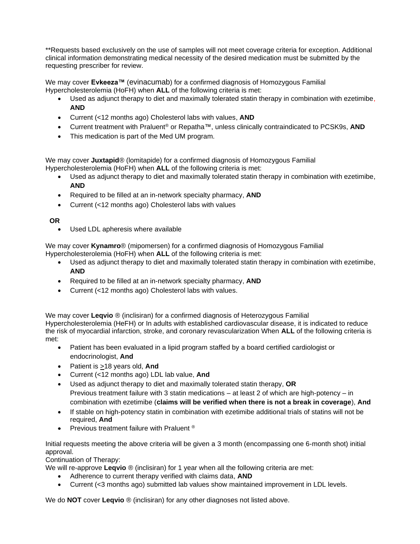\*\*Requests based exclusively on the use of samples will not meet coverage criteria for exception. Additional clinical information demonstrating medical necessity of the desired medication must be submitted by the requesting prescriber for review.

We may cover **Evkeeza™** (evinacumab) for a confirmed diagnosis of Homozygous Familial Hypercholesterolemia (HoFH) when **ALL** of the following criteria is met:

- Used as adjunct therapy to diet and maximally tolerated statin therapy in combination with ezetimibe, **AND**
- Current (<12 months ago) Cholesterol labs with values, **AND**
- Current treatment with Praluent® or Repatha™, unless clinically contraindicated to PCSK9s, **AND**
- This medication is part of the Med UM program.

We may cover **Juxtapid**® (lomitapide) for a confirmed diagnosis of Homozygous Familial Hypercholesterolemia (HoFH) when **ALL** of the following criteria is met:

- Used as adjunct therapy to diet and maximally tolerated statin therapy in combination with ezetimibe, **AND**
- Required to be filled at an in-network specialty pharmacy, **AND**
- Current (<12 months ago) Cholesterol labs with values

### **OR**

• Used LDL apheresis where available

We may cover **Kynamro**® (mipomersen) for a confirmed diagnosis of Homozygous Familial

Hypercholesterolemia (HoFH) when **ALL** of the following criteria is met:

- Used as adjunct therapy to diet and maximally tolerated statin therapy in combination with ezetimibe, **AND**
- Required to be filled at an in-network specialty pharmacy, **AND**
- Current (<12 months ago) Cholesterol labs with values.

We may cover **Leqvio** ® (inclisiran) for a confirmed diagnosis of Heterozygous Familial Hypercholesterolemia (HeFH) or In adults with established cardiovascular disease, it is indicated to reduce the risk of myocardial infarction, stroke, and coronary revascularization When **ALL** of the following criteria is met:

- Patient has been evaluated in a lipid program staffed by a board certified cardiologist or endocrinologist, **And**
- Patient is >18 years old, **And**
- Current (<12 months ago) LDL lab value, **And**
- Used as adjunct therapy to diet and maximally tolerated statin therapy, **OR** Previous treatment failure with 3 statin medications – at least 2 of which are high-potency – in combination with ezetimibe (**claims will be verified when there is not a break in coverage**), **And**
- If stable on high-potency statin in combination with ezetimibe additional trials of statins will not be required, **And**
- Previous treatment failure with Praluent ®

Initial requests meeting the above criteria will be given a 3 month (encompassing one 6-month shot) initial approval.

Continuation of Therapy:

We will re-approve **Leqvio** ® (inclisiran) for 1 year when all the following criteria are met:

- Adherence to current therapy verified with claims data, **AND**
- Current (<3 months ago) submitted lab values show maintained improvement in LDL levels.

We do **NOT** cover **Leqvio** ® (inclisiran) for any other diagnoses not listed above.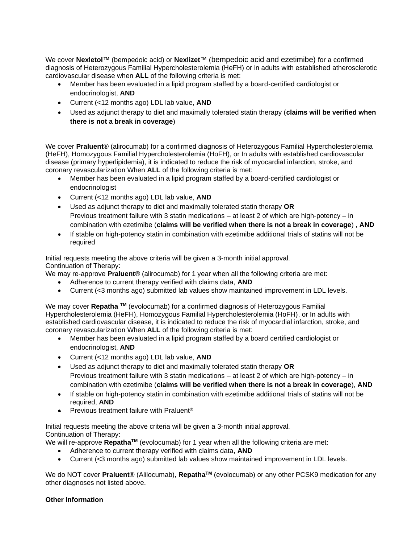We cover **Nexletol**™ (bempedoic acid) or **Nexlizet**™ (bempedoic acid and ezetimibe) for a confirmed diagnosis of Heterozygous Familial Hypercholesterolemia (HeFH) or in adults with established atherosclerotic cardiovascular disease when **ALL** of the following criteria is met:

- Member has been evaluated in a lipid program staffed by a board-certified cardiologist or endocrinologist, **AND**
- Current (<12 months ago) LDL lab value, **AND**
- Used as adjunct therapy to diet and maximally tolerated statin therapy (**claims will be verified when there is not a break in coverage**)

We cover **Praluent**® (alirocumab) for a confirmed diagnosis of Heterozygous Familial Hypercholesterolemia (HeFH), Homozygous Familial Hypercholesterolemia (HoFH), or In adults with established cardiovascular disease (primary hyperlipidemia), it is indicated to reduce the risk of myocardial infarction, stroke, and coronary revascularization When **ALL** of the following criteria is met:

- Member has been evaluated in a lipid program staffed by a board-certified cardiologist or endocrinologist
- Current (<12 months ago) LDL lab value, **AND**
- Used as adjunct therapy to diet and maximally tolerated statin therapy **OR** Previous treatment failure with 3 statin medications – at least 2 of which are high-potency – in combination with ezetimibe (**claims will be verified when there is not a break in coverage**) , **AND**
- If stable on high-potency statin in combination with ezetimibe additional trials of statins will not be required

Initial requests meeting the above criteria will be given a 3-month initial approval. Continuation of Therapy:

We may re-approve **Praluent**® (alirocumab) for 1 year when all the following criteria are met:

- Adherence to current therapy verified with claims data, **AND**
- Current (<3 months ago) submitted lab values show maintained improvement in LDL levels.

We may cover **Repatha TM** (evolocumab) for a confirmed diagnosis of Heterozygous Familial Hypercholesterolemia (HeFH), Homozygous Familial Hypercholesterolemia (HoFH), or In adults with established cardiovascular disease, it is indicated to reduce the risk of myocardial infarction, stroke, and coronary revascularization When **ALL** of the following criteria is met:

- Member has been evaluated in a lipid program staffed by a board certified cardiologist or endocrinologist, **AND**
- Current (<12 months ago) LDL lab value, **AND**
- Used as adjunct therapy to diet and maximally tolerated statin therapy **OR** Previous treatment failure with 3 statin medications – at least 2 of which are high-potency – in combination with ezetimibe (**claims will be verified when there is not a break in coverage**), **AND**
- If stable on high-potency statin in combination with ezetimibe additional trials of statins will not be required, **AND**
- Previous treatment failure with Praluent<sup>®</sup>

Initial requests meeting the above criteria will be given a 3-month initial approval. Continuation of Therapy:

We will re-approve **RepathaTM** (evolocumab) for 1 year when all the following criteria are met:

- Adherence to current therapy verified with claims data, **AND**
- Current (<3 months ago) submitted lab values show maintained improvement in LDL levels.

We do NOT cover **Praluent**® (Alilocumab), **RepathaTM** (evolocumab) or any other PCSK9 medication for any other diagnoses not listed above.

#### <span id="page-2-0"></span>**Other Information**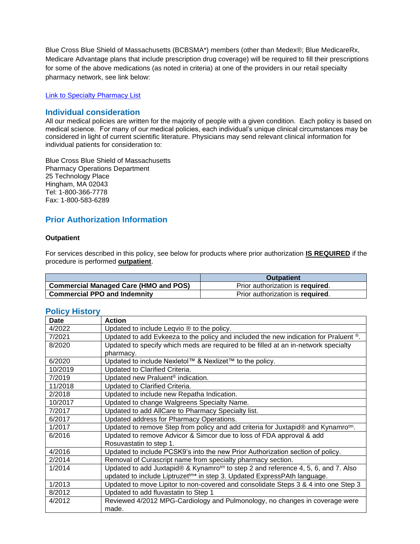Blue Cross Blue Shield of Massachusetts (BCBSMA\*) members (other than Medex®; Blue MedicareRx, Medicare Advantage plans that include prescription drug coverage) will be required to fill their prescriptions for some of the above medications (as noted in criteria) at one of the providers in our retail specialty pharmacy network, see link below:

[Link to Specialty Pharmacy List](https://www.bluecrossma.org/medical-policies/sites/g/files/csphws2091/files/acquiadam-assets/051%20Pharmacy%20Specialty%20List%20prn.pdf)

### **Individual consideration**

All our medical policies are written for the majority of people with a given condition. Each policy is based on medical science. For many of our medical policies, each individual's unique clinical circumstances may be considered in light of current scientific literature. Physicians may send relevant clinical information for individual patients for consideration to:

Blue Cross Blue Shield of Massachusetts Pharmacy Operations Department 25 Technology Place Hingham, MA 02043 Tel: 1-800-366-7778 Fax: 1-800-583-6289

# **Prior Authorization Information**

#### **Outpatient**

For services described in this policy, see below for products where prior authorization **IS REQUIRED** if the procedure is performed **outpatient**.

|                                                    | <b>Outpatient</b>                |
|----------------------------------------------------|----------------------------------|
| <sup>1</sup> Commercial Managed Care (HMO and POS) | Prior authorization is required. |
| <b>Commercial PPO and Indemnity</b>                | Prior authorization is required. |

#### <span id="page-3-0"></span>**Policy History**

| <b>Date</b> | <b>Action</b>                                                                                 |
|-------------|-----------------------------------------------------------------------------------------------|
| 4/2022      | Updated to include Leqvio ® to the policy.                                                    |
| 7/2021      | Updated to add Evkeeza to the policy and included the new indication for Praluent ®.          |
| 8/2020      | Updated to specify which meds are required to be filled at an in-network specialty            |
|             | pharmacy.                                                                                     |
| 6/2020      | Updated to include Nexletol™ & Nexlizet™ to the policy.                                       |
| 10/2019     | Updated to Clarified Criteria.                                                                |
| 7/2019      | Updated new Praluent <sup>®</sup> indication.                                                 |
| 11/2018     | Updated to Clarified Criteria.                                                                |
| 2/2018      | Updated to include new Repatha Indication.                                                    |
| 10/2017     | Updated to change Walgreens Specialty Name.                                                   |
| 7/2017      | Updated to add AllCare to Pharmacy Specialty list.                                            |
| 6/2017      | Updated address for Pharmacy Operations.                                                      |
| 1/2017      | Updated to remove Step from policy and add criteria for Juxtapid® and Kynamro <sup>tm</sup> . |
| 6/2016      | Updated to remove Advicor & Simcor due to loss of FDA approval & add                          |
|             | Rosuvastatin to step 1.                                                                       |
| 4/2016      | Updated to include PCSK9's into the new Prior Authorization section of policy.                |
| 2/2014      | Removal of Curascript name from specialty pharmacy section.                                   |
| 1/2014      | Updated to add Juxtapid® & Kynamro <sup>tm</sup> to step 2 and reference 4, 5, 6, and 7. Also |
|             | updated to include Liptruzet <sup>tm*</sup> in step 3. Updated ExpressPAth language.          |
| 1/2013      | Updated to move Lipitor to non-covered and consolidate Steps 3 & 4 into one Step 3            |
| 8/2012      | Updated to add fluvastatin to Step 1                                                          |
| 4/2012      | Reviewed 4/2012 MPG-Cardiology and Pulmonology, no changes in coverage were                   |
|             | made.                                                                                         |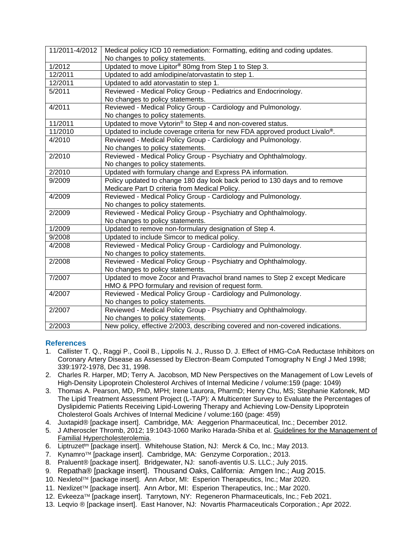| 11/2011-4/2012 | Medical policy ICD 10 remediation: Formatting, editing and coding updates.              |
|----------------|-----------------------------------------------------------------------------------------|
|                | No changes to policy statements.                                                        |
| 1/2012         | Updated to move Lipitor® 80mg from Step 1 to Step 3.                                    |
| 12/2011        | Updated to add amlodipine/atorvastatin to step 1.                                       |
| 12/2011        | Updated to add atorvastatin to step 1.                                                  |
| 5/2011         | Reviewed - Medical Policy Group - Pediatrics and Endocrinology.                         |
|                | No changes to policy statements.                                                        |
| 4/2011         | Reviewed - Medical Policy Group - Cardiology and Pulmonology.                           |
|                | No changes to policy statements.                                                        |
| 11/2011        | Updated to move Vytorin® to Step 4 and non-covered status.                              |
| 11/2010        | Updated to include coverage criteria for new FDA approved product Livalo <sup>®</sup> . |
| 4/2010         | Reviewed - Medical Policy Group - Cardiology and Pulmonology.                           |
|                | No changes to policy statements.                                                        |
| 2/2010         | Reviewed - Medical Policy Group - Psychiatry and Ophthalmology.                         |
|                | No changes to policy statements.                                                        |
| 2/2010         | Updated with formulary change and Express PA information.                               |
| 9/2009         | Policy updated to change 180 day look back period to 130 days and to remove             |
|                | Medicare Part D criteria from Medical Policy.                                           |
| 4/2009         | Reviewed - Medical Policy Group - Cardiology and Pulmonology.                           |
|                | No changes to policy statements.                                                        |
| 2/2009         | Reviewed - Medical Policy Group - Psychiatry and Ophthalmology.                         |
|                | No changes to policy statements.                                                        |
| 1/2009         | Updated to remove non-formulary designation of Step 4.                                  |
| 9/2008         | Updated to include Simcor to medical policy.                                            |
| 4/2008         | Reviewed - Medical Policy Group - Cardiology and Pulmonology.                           |
|                | No changes to policy statements.                                                        |
| 2/2008         | Reviewed - Medical Policy Group - Psychiatry and Ophthalmology.                         |
|                | No changes to policy statements.                                                        |
| 7/2007         | Updated to move Zocor and Pravachol brand names to Step 2 except Medicare               |
|                | HMO & PPO formulary and revision of request form.                                       |
| 4/2007         | Reviewed - Medical Policy Group - Cardiology and Pulmonology.                           |
|                | No changes to policy statements.                                                        |
| 2/2007         | Reviewed - Medical Policy Group - Psychiatry and Ophthalmology.                         |
|                | No changes to policy statements.                                                        |
| 2/2003         | New policy, effective 2/2003, describing covered and non-covered indications.           |

#### <span id="page-4-0"></span>**References**

- 1. Callister T. Q., Raggi P., Cooil B., Lippolis N. J., Russo D. J. Effect of HMG-CoA Reductase Inhibitors on Coronary Artery Disease as Assessed by Electron-Beam Computed Tomography N Engl J Med 1998; 339:1972-1978, Dec 31, 1998.
- 2. Charles R. Harper, MD; Terry A. Jacobson, MD New Perspectives on the Management of Low Levels of High-Density Lipoprotein Cholesterol Archives of Internal Medicine / volume:159 (page: 1049)
- 3. Thomas A. Pearson, MD, PhD, MPH; Irene Laurora, PharmD; Henry Chu, MS; Stephanie Kafonek, MD The Lipid Treatment Assessment Project (L-TAP): A Multicenter Survey to Evaluate the Percentages of Dyslipidemic Patients Receiving Lipid-Lowering Therapy and Achieving Low-Density Lipoprotein Cholesterol Goals Archives of Internal Medicine / volume:160 (page: 459)
- 4. Juxtapid® [package insert]. Cambridge, MA: Aeggerion Pharmaceutical, Inc.; December 2012.
- 5. J Atheroscler Thromb, 2012; 19:1043-1060 Mariko Harada-Shiba et al. Guidelines for the Management of Familial Hypercholesterolemia.
- 6. Liptruzettm [package insert]. Whitehouse Station, NJ: Merck & Co, Inc.; May 2013.
- 7. Kynamro™ [package insert]. Cambridge, MA: Genzyme Corporation.; 2013.
- 8. Praluent® [package insert]. Bridgewater, NJ: sanofi-aventis U.S. LLC.; July 2015.
- 9. Repatha® [package insert]. Thousand Oaks, California: Amgen Inc.; Aug 2015.
- 10. Nexletol<sup>™</sup> [package insert]. Ann Arbor, MI: Esperion Therapeutics, Inc.; Mar 2020.
- 11. Nexlizet<sup>TM</sup> [package insert]. Ann Arbor, MI: Esperion Therapeutics, Inc.; Mar 2020.
- 12. Evkeeza<sup>TM</sup> [package insert]. Tarrytown, NY: Regeneron Pharmaceuticals, Inc.; Feb 2021.
- 13. Leqvio ® [package insert]. East Hanover, NJ: Novartis Pharmaceuticals Corporation.; Apr 2022.